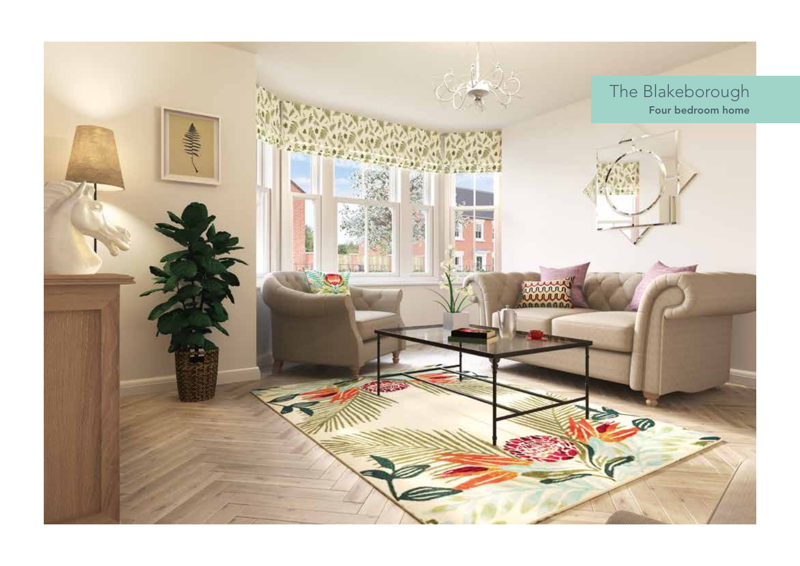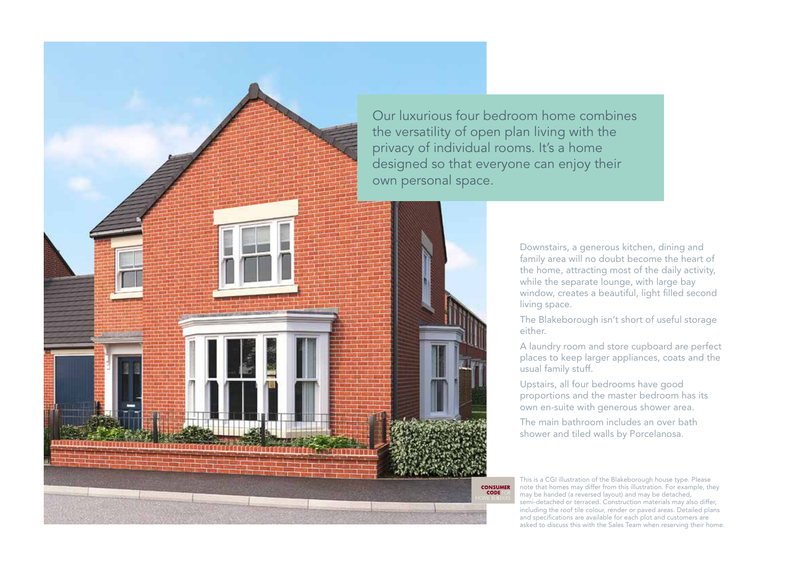

privacy of individual rooms. It's a home designed so that everyone can enjoy their

Downstairs, a generous kitchen, dining and family area will no doubt become the heart of the home, attracting most of the daily activity, while the separate lounge, with large bay window, creates a beautiful, light filled second living space.

The Blakeborough isn't short of useful storage either.

A laundry room and store cupboard are perfect places to keep larger appliances, coats and the usual family stuff.

Upstairs, all four bedrooms have good proportions and the master bedroom has its own en-suite with generous shower area.

The main bathroom includes an over bath shower and tiled walls by Porcelanosa.

This is a CGI illustration of the Blakeborough house type. Please note that homes may differ from this illustration. For example, they may be handed (a reversed layout) and may be detached, semi-detached or terraced. Construction materials may also differ, including the roof tile colour, render or paved areas. Detailed plans and specifications are available for each plot and customers are asked to discuss this with the Sales Team when reserving their home.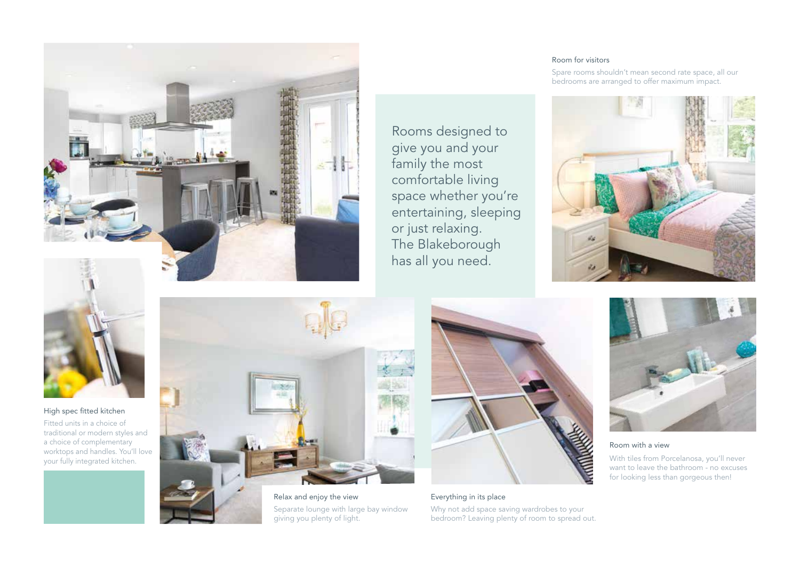

Rooms designed to give you and your family the most comfortable living space whether you're entertaining, sleeping or just relaxing. The Blakeborough has all you need.

## Room for visitors

Spare rooms shouldn't mean second rate space, all our bedrooms are arranged to offer maximum impact.





High spec fitted kitchen

Fitted units in a choice of traditional or modern styles and a choice of complementary worktops and handles. You'll love your fully integrated kitchen.



Relax and enjoy the view Separate lounge with large bay window giving you plenty of light.



Everything in its place

Why not add space saving wardrobes to your bedroom? Leaving plenty of room to spread out.



## Room with a view

With tiles from Porcelanosa, you'll never want to leave the bathroom - no excuses for looking less than gorgeous then!